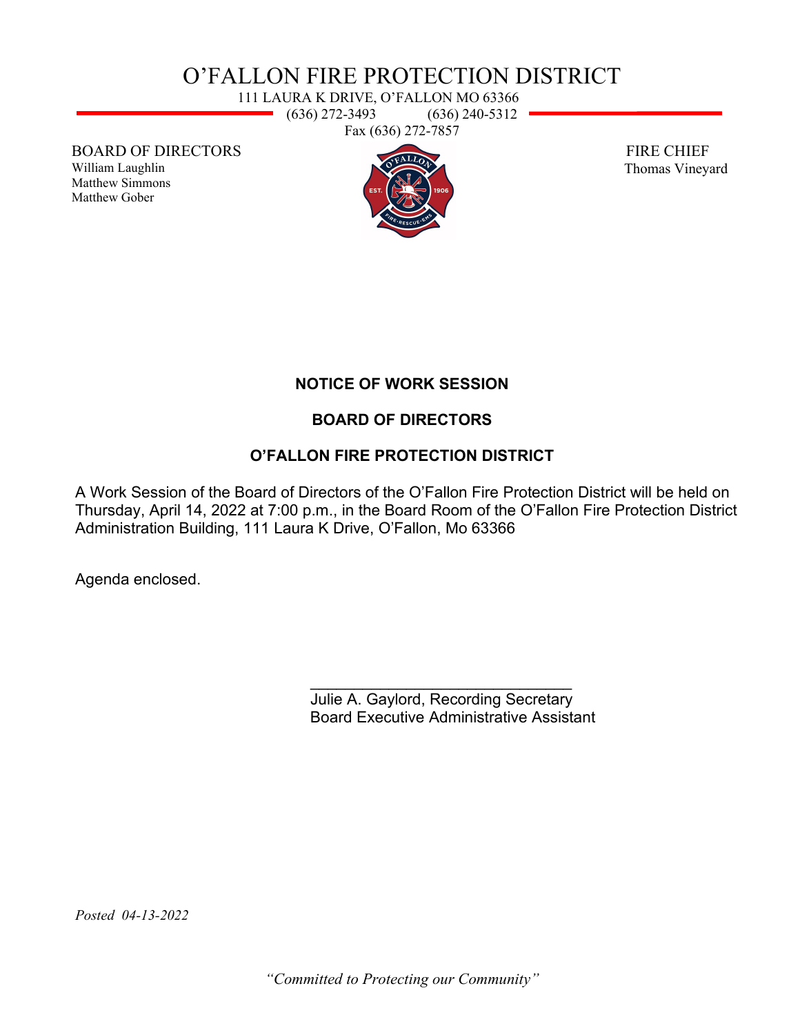# O'FALLON FIRE PROTECTION DISTRICT

111 LAURA K DRIVE, O'FALLON MO 63366  $\rightarrow$  (636) 272-3493 (636) 240-5312 Fax (636) 272-7857

BOARD OF DIRECTORS

William Laughlin Matthew Simmons Matthew Gober



 FIRE CHIEF Thomas Vineyard

## **NOTICE OF WORK SESSION**

## **BOARD OF DIRECTORS**

## **O'FALLON FIRE PROTECTION DISTRICT**

A Work Session of the Board of Directors of the O'Fallon Fire Protection District will be held on Thursday, April 14, 2022 at 7:00 p.m., in the Board Room of the O'Fallon Fire Protection District Administration Building, 111 Laura K Drive, O'Fallon, Mo 63366

Agenda enclosed.

\_\_\_\_\_\_\_\_\_\_\_\_\_\_\_\_\_\_\_\_\_\_\_\_\_\_\_\_\_\_ Julie A. Gaylord, Recording Secretary Board Executive Administrative Assistant

*Posted 04-13-2022* 

*"Committed to Protecting our Community"*